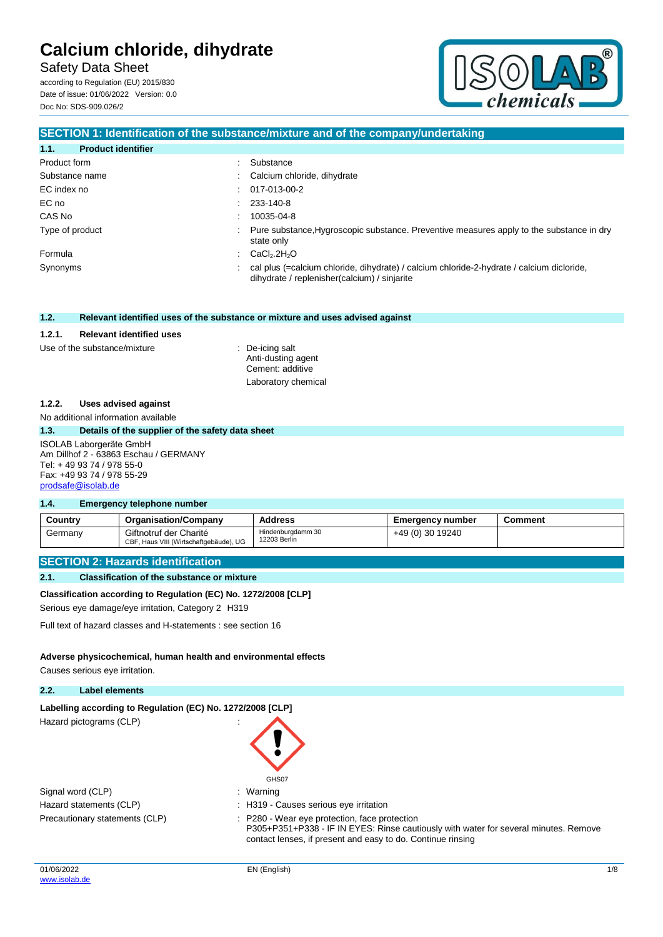Safety Data Sheet

according to Regulation (EU) 2015/830 Date of issue: 01/06/2022 Version: 0.0 Doc No: SDS-909.026/2



### **SECTION 1: Identification of the substance/mixture and of the company/undertaking**

| 1.1.<br><b>Product identifier</b> |                                                                                                                                             |
|-----------------------------------|---------------------------------------------------------------------------------------------------------------------------------------------|
| Product form                      | Substance                                                                                                                                   |
| Substance name                    | : Calcium chloride, dihydrate                                                                                                               |
| EC index no                       | $: 017-013-00-2$                                                                                                                            |
| EC no                             | $: 233-140-8$                                                                                                                               |
| CAS No                            | 10035-04-8                                                                                                                                  |
| Type of product                   | : Pure substance, Hygroscopic substance. Preventive measures apply to the substance in dry<br>state only                                    |
| Formula                           | $\therefore$ CaCl <sub>2</sub> .2H <sub>2</sub> O                                                                                           |
| Synonyms                          | : cal plus (=calcium chloride, dihydrate) / calcium chloride-2-hydrate / calcium dicloride,<br>dihydrate / replenisher(calcium) / sinjarite |

#### **1.2. Relevant identified uses of the substance or mixture and uses advised against**

#### **1.2.1. Relevant identified uses**

#### Use of the substance/mixture : De-icing salt

Anti-dusting agent Cement: additive Laboratory chemical

#### **1.2.2. Uses advised against**

No additional information available

#### **1.3. Details of the supplier of the safety data sheet**

#### ISOLAB Laborgeräte GmbH Am Dillhof 2 - 63863 Eschau / GERMANY Tel: + 49 93 74 / 978 55-0 Fax: +49 93 74 / 978 55-29 [prodsafe@isolab.de](mailto:prodsafe@isolab.de)

#### **1.4. Emergency telephone number**

| Country | <b>Organisation/Company</b>                                      | <b>Address</b>                    | <b>Emergency number</b> | こomment |
|---------|------------------------------------------------------------------|-----------------------------------|-------------------------|---------|
| Germany | Giftnotruf der Charité<br>CBF, Haus VIII (Wirtschaftgebäude), UG | Hindenburgdamm 30<br>12203 Berlin | +49 (0) 30 19240        |         |

#### **SECTION 2: Hazards identification**

#### **2.1. Classification of the substance or mixture**

#### **Classification according to Regulation (EC) No. 1272/2008 [CLP]**

Serious eye damage/eye irritation, Category 2 H319

Full text of hazard classes and H-statements : see section 16

#### **Adverse physicochemical, human health and environmental effects**

Causes serious eye irritation.

#### **2.2. Label elements**

#### Labelling according to Regulation (EC) No. 1272/2008 [CLP]

Hazard pictograms (CLP) in the state of the state of the state of the state of the state of the state of the state of the state of the state of the state of the state of the state of the state of the state of the state of

| GHS07   |
|---------|
| Warning |

| Signal word (CLP)              | $\therefore$ Warning |
|--------------------------------|----------------------|
| Hazard statements (CLP)        | : H319 - C           |
| Precautionary statements (CLP) | $: P280 - V$         |

: H319 - Causes serious eye irritation : P280 - Wear eye protection, face protection P305+P351+P338 - IF IN EYES: Rinse cautiously with water for several minutes. Remove contact lenses, if present and easy to do. Continue rinsing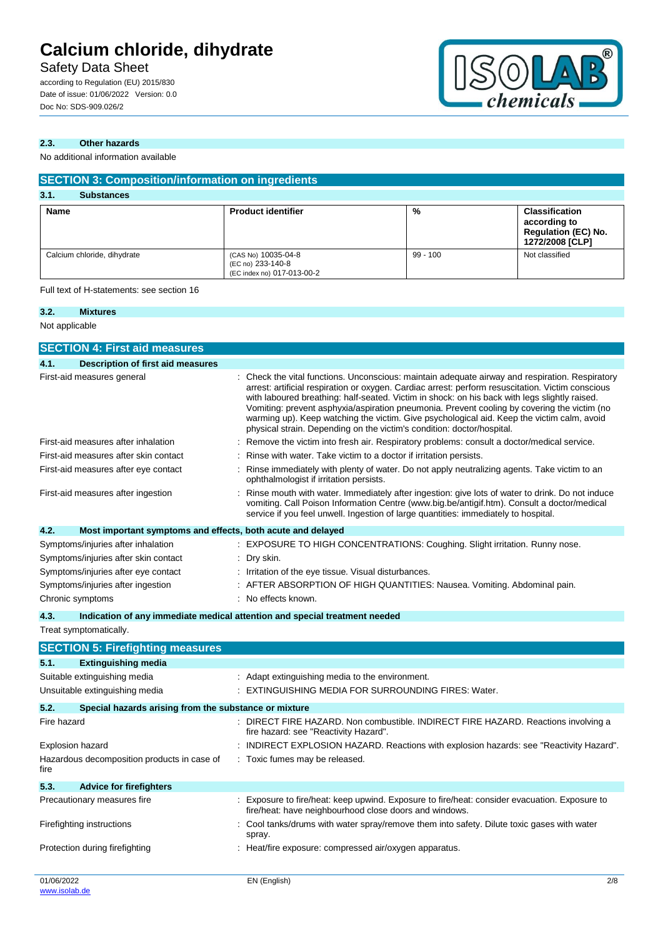## Safety Data Sheet

according to Regulation (EU) 2015/830 Date of issue: 01/06/2022 Version: 0.0 Doc No: SDS-909.026/2



## **2.3. Other hazards**

No additional information available

| <b>SECTION 3: Composition/information on ingredients</b> |                                                                        |            |                                                                                        |
|----------------------------------------------------------|------------------------------------------------------------------------|------------|----------------------------------------------------------------------------------------|
| 3.1.<br><b>Substances</b>                                |                                                                        |            |                                                                                        |
| <b>Name</b>                                              | <b>Product identifier</b>                                              | %          | <b>Classification</b><br>according to<br><b>Regulation (EC) No.</b><br>1272/2008 [CLP] |
| Calcium chloride, dihydrate                              | (CAS No) 10035-04-8<br>(EC no) 233-140-8<br>(EC index no) 017-013-00-2 | $99 - 100$ | Not classified                                                                         |

Full text of H-statements: see section 16

#### **3.2. Mixtures** Not applicable

| <b>SECTION 4: First aid measures</b>                                |                                                                                                                                                                                                                                                                                                                                                                                                                                                                                                                                                                            |
|---------------------------------------------------------------------|----------------------------------------------------------------------------------------------------------------------------------------------------------------------------------------------------------------------------------------------------------------------------------------------------------------------------------------------------------------------------------------------------------------------------------------------------------------------------------------------------------------------------------------------------------------------------|
| <b>Description of first aid measures</b><br>4.1.                    |                                                                                                                                                                                                                                                                                                                                                                                                                                                                                                                                                                            |
| First-aid measures general                                          | Check the vital functions. Unconscious: maintain adequate airway and respiration. Respiratory<br>arrest: artificial respiration or oxygen. Cardiac arrest: perform resuscitation. Victim conscious<br>with laboured breathing: half-seated. Victim in shock: on his back with legs slightly raised.<br>Vomiting: prevent asphyxia/aspiration pneumonia. Prevent cooling by covering the victim (no<br>warming up). Keep watching the victim. Give psychological aid. Keep the victim calm, avoid<br>physical strain. Depending on the victim's condition: doctor/hospital. |
| First-aid measures after inhalation                                 | Remove the victim into fresh air. Respiratory problems: consult a doctor/medical service.                                                                                                                                                                                                                                                                                                                                                                                                                                                                                  |
| First-aid measures after skin contact                               | Rinse with water. Take victim to a doctor if irritation persists.                                                                                                                                                                                                                                                                                                                                                                                                                                                                                                          |
| First-aid measures after eye contact                                | Rinse immediately with plenty of water. Do not apply neutralizing agents. Take victim to an<br>ophthalmologist if irritation persists.                                                                                                                                                                                                                                                                                                                                                                                                                                     |
| First-aid measures after ingestion                                  | Rinse mouth with water. Immediately after ingestion: give lots of water to drink. Do not induce<br>vomiting. Call Poison Information Centre (www.big.be/antigif.htm). Consult a doctor/medical<br>service if you feel unwell. Ingestion of large quantities: immediately to hospital.                                                                                                                                                                                                                                                                                      |
| 4.2.<br>Most important symptoms and effects, both acute and delayed |                                                                                                                                                                                                                                                                                                                                                                                                                                                                                                                                                                            |
| Symptoms/injuries after inhalation                                  | : EXPOSURE TO HIGH CONCENTRATIONS: Coughing. Slight irritation. Runny nose.                                                                                                                                                                                                                                                                                                                                                                                                                                                                                                |
| Symptoms/injuries after skin contact                                | Dry skin.                                                                                                                                                                                                                                                                                                                                                                                                                                                                                                                                                                  |
| Symptoms/injuries after eye contact                                 | Irritation of the eye tissue. Visual disturbances.                                                                                                                                                                                                                                                                                                                                                                                                                                                                                                                         |
| Symptoms/injuries after ingestion                                   | AFTER ABSORPTION OF HIGH QUANTITIES: Nausea. Vomiting. Abdominal pain.                                                                                                                                                                                                                                                                                                                                                                                                                                                                                                     |
| Chronic symptoms                                                    | : No effects known.                                                                                                                                                                                                                                                                                                                                                                                                                                                                                                                                                        |
| 4.3.                                                                | Indication of any immediate medical attention and special treatment needed                                                                                                                                                                                                                                                                                                                                                                                                                                                                                                 |
| Treat symptomatically.                                              |                                                                                                                                                                                                                                                                                                                                                                                                                                                                                                                                                                            |
| <b>SECTION 5: Firefighting measures</b>                             |                                                                                                                                                                                                                                                                                                                                                                                                                                                                                                                                                                            |
| <b>Extinguishing media</b><br>5.1.                                  |                                                                                                                                                                                                                                                                                                                                                                                                                                                                                                                                                                            |
| Suitable extinguishing media                                        | : Adapt extinguishing media to the environment.                                                                                                                                                                                                                                                                                                                                                                                                                                                                                                                            |
| Unsuitable extinguishing media                                      | : EXTINGUISHING MEDIA FOR SURROUNDING FIRES: Water.                                                                                                                                                                                                                                                                                                                                                                                                                                                                                                                        |
| 5.2.<br>Special hazards arising from the substance or mixture       |                                                                                                                                                                                                                                                                                                                                                                                                                                                                                                                                                                            |
| Fire hazard                                                         | : DIRECT FIRE HAZARD. Non combustible. INDIRECT FIRE HAZARD. Reactions involving a<br>fire hazard: see "Reactivity Hazard".                                                                                                                                                                                                                                                                                                                                                                                                                                                |
| Explosion hazard                                                    | INDIRECT EXPLOSION HAZARD. Reactions with explosion hazards: see "Reactivity Hazard".                                                                                                                                                                                                                                                                                                                                                                                                                                                                                      |
| Hazardous decomposition products in case of<br>fire                 | : Toxic fumes may be released.                                                                                                                                                                                                                                                                                                                                                                                                                                                                                                                                             |

**5.3. Advice for firefighters** Precautionary measures fire : Exposure to fire/heat: keep upwind. Exposure to fire/heat: consider evacuation. Exposure to fire/heat: have neighbourhood close doors and windows. Firefighting instructions **included in the set of the set of the state** of the metal of the metal of the metal of the metal of the metal of the metal of the metal of the metal of the metal of the metal of the metal of the spray. Protection during firefighting  $\qquad \qquad : \qquad$  Heat/fire exposure: compressed air/oxygen apparatus.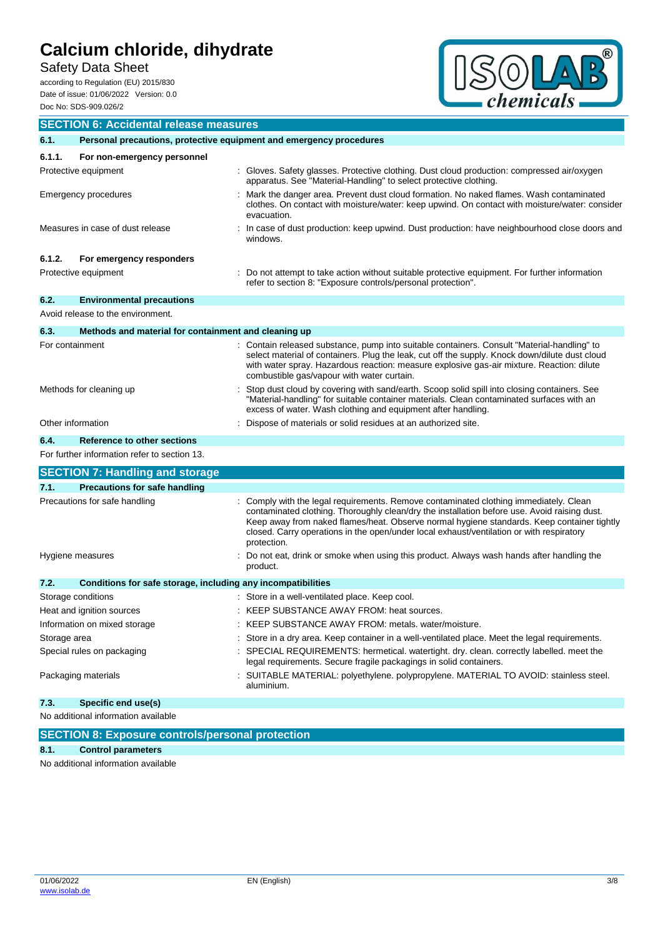Safety Data Sheet

according to Regulation (EU) 2015/830 Date of issue: 01/06/2022 Version: 0.0 Doc No: SDS-909.026/2



| <b>SECTION 6: Accidental release measures</b>                               |                                                              |                                                                                                                                                                                                                                                                                                                                                                                              |
|-----------------------------------------------------------------------------|--------------------------------------------------------------|----------------------------------------------------------------------------------------------------------------------------------------------------------------------------------------------------------------------------------------------------------------------------------------------------------------------------------------------------------------------------------------------|
| Personal precautions, protective equipment and emergency procedures<br>6.1. |                                                              |                                                                                                                                                                                                                                                                                                                                                                                              |
| 6.1.1.                                                                      | For non-emergency personnel                                  |                                                                                                                                                                                                                                                                                                                                                                                              |
| Protective equipment                                                        |                                                              | : Gloves. Safety glasses. Protective clothing. Dust cloud production: compressed air/oxygen<br>apparatus. See "Material-Handling" to select protective clothing.                                                                                                                                                                                                                             |
| Emergency procedures                                                        |                                                              | Mark the danger area. Prevent dust cloud formation. No naked flames. Wash contaminated<br>clothes. On contact with moisture/water: keep upwind. On contact with moisture/water: consider<br>evacuation.                                                                                                                                                                                      |
| Measures in case of dust release                                            |                                                              | In case of dust production: keep upwind. Dust production: have neighbourhood close doors and<br>windows.                                                                                                                                                                                                                                                                                     |
| 6.1.2.                                                                      | For emergency responders                                     |                                                                                                                                                                                                                                                                                                                                                                                              |
| Protective equipment                                                        |                                                              | Do not attempt to take action without suitable protective equipment. For further information<br>refer to section 8: "Exposure controls/personal protection".                                                                                                                                                                                                                                 |
| 6.2.                                                                        | <b>Environmental precautions</b>                             |                                                                                                                                                                                                                                                                                                                                                                                              |
| Avoid release to the environment.                                           |                                                              |                                                                                                                                                                                                                                                                                                                                                                                              |
| 6.3.                                                                        | Methods and material for containment and cleaning up         |                                                                                                                                                                                                                                                                                                                                                                                              |
| For containment                                                             |                                                              | Contain released substance, pump into suitable containers. Consult "Material-handling" to<br>select material of containers. Plug the leak, cut off the supply. Knock down/dilute dust cloud<br>with water spray. Hazardous reaction: measure explosive gas-air mixture. Reaction: dilute<br>combustible gas/vapour with water curtain.                                                       |
| Methods for cleaning up                                                     |                                                              | Stop dust cloud by covering with sand/earth. Scoop solid spill into closing containers. See<br>"Material-handling" for suitable container materials. Clean contaminated surfaces with an<br>excess of water. Wash clothing and equipment after handling.                                                                                                                                     |
| Other information                                                           |                                                              | Dispose of materials or solid residues at an authorized site.                                                                                                                                                                                                                                                                                                                                |
| 6.4.                                                                        | Reference to other sections                                  |                                                                                                                                                                                                                                                                                                                                                                                              |
|                                                                             | For further information refer to section 13.                 |                                                                                                                                                                                                                                                                                                                                                                                              |
|                                                                             | <b>SECTION 7: Handling and storage</b>                       |                                                                                                                                                                                                                                                                                                                                                                                              |
| 7.1.                                                                        | <b>Precautions for safe handling</b>                         |                                                                                                                                                                                                                                                                                                                                                                                              |
| Precautions for safe handling                                               |                                                              | Comply with the legal requirements. Remove contaminated clothing immediately. Clean<br>contaminated clothing. Thoroughly clean/dry the installation before use. Avoid raising dust.<br>Keep away from naked flames/heat. Observe normal hygiene standards. Keep container tightly<br>closed. Carry operations in the open/under local exhaust/ventilation or with respiratory<br>protection. |
| Hygiene measures                                                            |                                                              | Do not eat, drink or smoke when using this product. Always wash hands after handling the<br>product.                                                                                                                                                                                                                                                                                         |
| 7.2.                                                                        | Conditions for safe storage, including any incompatibilities |                                                                                                                                                                                                                                                                                                                                                                                              |
| Storage conditions                                                          |                                                              | : Store in a well-ventilated place. Keep cool.                                                                                                                                                                                                                                                                                                                                               |
| Heat and ignition sources                                                   |                                                              | KEEP SUBSTANCE AWAY FROM: heat sources.                                                                                                                                                                                                                                                                                                                                                      |
| Information on mixed storage                                                |                                                              | : KEEP SUBSTANCE AWAY FROM: metals. water/moisture.                                                                                                                                                                                                                                                                                                                                          |
| Storage area                                                                |                                                              | Store in a dry area. Keep container in a well-ventilated place. Meet the legal requirements.                                                                                                                                                                                                                                                                                                 |
| Special rules on packaging                                                  |                                                              | SPECIAL REQUIREMENTS: hermetical. watertight. dry. clean. correctly labelled. meet the<br>legal requirements. Secure fragile packagings in solid containers.                                                                                                                                                                                                                                 |
| Packaging materials                                                         |                                                              | SUITABLE MATERIAL: polyethylene. polypropylene. MATERIAL TO AVOID: stainless steel.<br>aluminium.                                                                                                                                                                                                                                                                                            |
| 7.3.                                                                        | Specific end use(s)                                          |                                                                                                                                                                                                                                                                                                                                                                                              |
| No additional information available                                         |                                                              |                                                                                                                                                                                                                                                                                                                                                                                              |
|                                                                             | <b>SECTION 8: Exposure controls/personal protection</b>      |                                                                                                                                                                                                                                                                                                                                                                                              |

#### **8.1. Control parameters**

No additional information available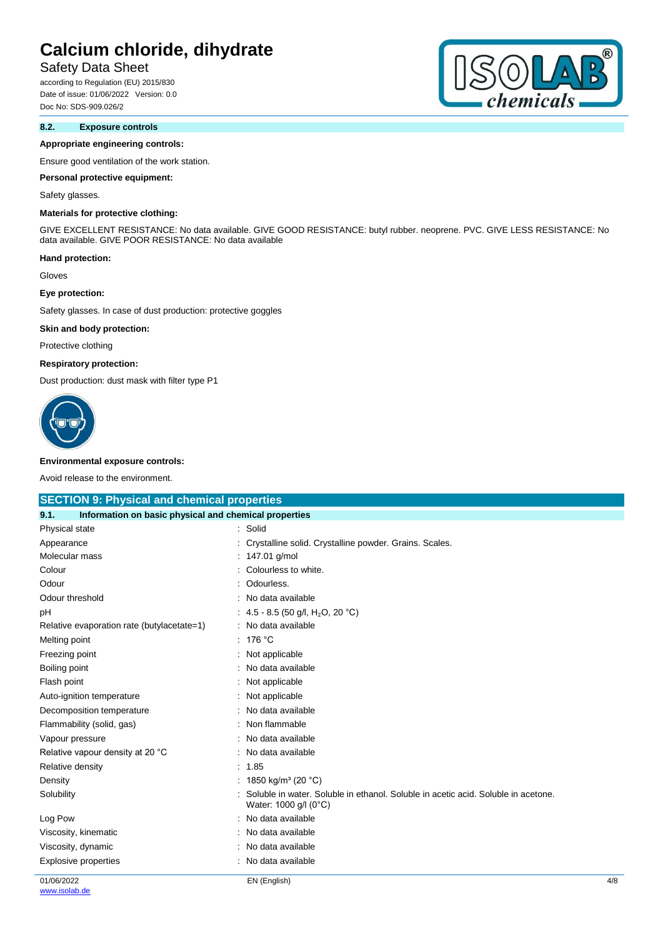## Safety Data Sheet

according to Regulation (EU) 2015/830 Date of issue: 01/06/2022 Version: 0.0 Doc No: SDS-909.026/2

### **8.2. Exposure controls**

#### **Appropriate engineering controls:**

Ensure good ventilation of the work station.

#### **Personal protective equipment:**

#### Safety glasses.

### **Materials for protective clothing:**

GIVE EXCELLENT RESISTANCE: No data available. GIVE GOOD RESISTANCE: butyl rubber. neoprene. PVC. GIVE LESS RESISTANCE: No data available. GIVE POOR RESISTANCE: No data available

#### **Hand protection:**

Gloves

#### **Eye protection:**

Safety glasses. In case of dust production: protective goggles

#### **Skin and body protection:**

Protective clothing

#### **Respiratory protection:**

Dust production: dust mask with filter type P1



#### **Environmental exposure controls:**

Avoid release to the environment.

| <b>SECTION 9: Physical and chemical properties</b>            |                                                                                                            |     |
|---------------------------------------------------------------|------------------------------------------------------------------------------------------------------------|-----|
| Information on basic physical and chemical properties<br>9.1. |                                                                                                            |     |
| Physical state                                                | : Solid                                                                                                    |     |
| Appearance                                                    | Crystalline solid. Crystalline powder. Grains. Scales.                                                     |     |
| Molecular mass                                                | 147.01 g/mol                                                                                               |     |
| Colour                                                        | Colourless to white.                                                                                       |     |
| Odour                                                         | Odourless.                                                                                                 |     |
| Odour threshold                                               | No data available                                                                                          |     |
| pH                                                            | : 4.5 - 8.5 (50 g/l, H <sub>2</sub> O, 20 °C)                                                              |     |
| Relative evaporation rate (butylacetate=1)                    | No data available                                                                                          |     |
| Melting point                                                 | 176 °C                                                                                                     |     |
| Freezing point                                                | Not applicable                                                                                             |     |
| Boiling point                                                 | No data available                                                                                          |     |
| Flash point                                                   | Not applicable                                                                                             |     |
| Auto-ignition temperature                                     | Not applicable                                                                                             |     |
| Decomposition temperature                                     | No data available                                                                                          |     |
| Flammability (solid, gas)                                     | Non flammable                                                                                              |     |
| Vapour pressure                                               | No data available                                                                                          |     |
| Relative vapour density at 20 °C                              | No data available                                                                                          |     |
| Relative density                                              | 1.85                                                                                                       |     |
| Density                                                       | 1850 kg/m <sup>3</sup> (20 °C)                                                                             |     |
| Solubility                                                    | Soluble in water. Soluble in ethanol. Soluble in acetic acid. Soluble in acetone.<br>Water: 1000 g/l (0°C) |     |
| Log Pow                                                       | No data available                                                                                          |     |
| Viscosity, kinematic                                          | No data available                                                                                          |     |
| Viscosity, dynamic                                            | No data available                                                                                          |     |
| <b>Explosive properties</b>                                   | No data available                                                                                          |     |
| 01/06/2022                                                    | EN (English)                                                                                               | 4/8 |

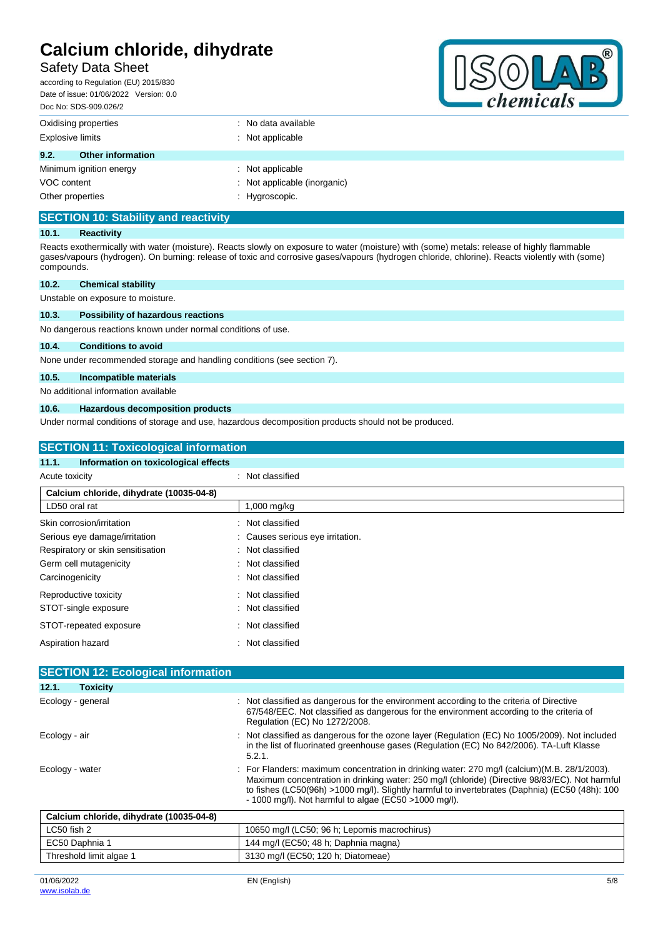## Safety Data Sheet

according to Regulation (EU) 2015/830 Date of issue: 01/06/2022 Version: 0.0 Doc No: SDS-909.026/2



| DUC INU. ODO-303.020/2           |                              |
|----------------------------------|------------------------------|
| Oxidising properties             | : No data available          |
| <b>Explosive limits</b>          | $\therefore$ Not applicable  |
| 9.2.<br><b>Other information</b> |                              |
| Minimum ignition energy          | $\therefore$ Not applicable  |
| VOC content                      | : Not applicable (inorganic) |
| Other properties                 | : Hygroscopic.               |

## **SECTION 10: Stability and reactivity**

#### **10.1. Reactivity**

Reacts exothermically with water (moisture). Reacts slowly on exposure to water (moisture) with (some) metals: release of highly flammable gases/vapours (hydrogen). On burning: release of toxic and corrosive gases/vapours (hydrogen chloride, chlorine). Reacts violently with (some) compounds.

### **10.2. Chemical stability** Unstable on exposure to moisture.

# **10.3. Possibility of hazardous reactions**

No dangerous reactions known under normal conditions of use.

### **10.4. Conditions to avoid**

None under recommended storage and handling conditions (see section 7).

#### **10.5. Incompatible materials**

No additional information available

#### **10.6. Hazardous decomposition products**

Under normal conditions of storage and use, hazardous decomposition products should not be produced.

| <b>SECTION 11: Toxicological information</b>  |                                |  |
|-----------------------------------------------|--------------------------------|--|
| Information on toxicological effects<br>11.1. |                                |  |
| Acute toxicity                                | : Not classified               |  |
| Calcium chloride, dihydrate (10035-04-8)      |                                |  |
| LD50 oral rat                                 | 1,000 mg/kg                    |  |
| Skin corrosion/irritation                     | Not classified<br>۰.           |  |
| Serious eye damage/irritation                 | Causes serious eye irritation. |  |
| Respiratory or skin sensitisation             | : Not classified               |  |
| Germ cell mutagenicity                        | : Not classified               |  |
| Carcinogenicity                               | Not classified                 |  |
| Reproductive toxicity                         | : Not classified               |  |
| STOT-single exposure                          | : Not classified               |  |
| STOT-repeated exposure                        | : Not classified               |  |
| Aspiration hazard                             | Not classified<br>٠.           |  |
|                                               |                                |  |
| <b>SECTION 12: Ecological information</b>     |                                |  |

| 12.1.<br><b>Toxicity</b>                 |                                                                                                                                                                                                                                                                                                                                                             |
|------------------------------------------|-------------------------------------------------------------------------------------------------------------------------------------------------------------------------------------------------------------------------------------------------------------------------------------------------------------------------------------------------------------|
| Ecology - general                        | : Not classified as dangerous for the environment according to the criteria of Directive<br>67/548/EEC. Not classified as dangerous for the environment according to the criteria of<br>Regulation (EC) No 1272/2008.                                                                                                                                       |
| Ecology - air                            | : Not classified as dangerous for the ozone layer (Regulation (EC) No 1005/2009). Not included<br>in the list of fluorinated greenhouse gases (Regulation (EC) No 842/2006). TA-Luft Klasse<br>5.2.1.                                                                                                                                                       |
| Ecology - water                          | : For Flanders: maximum concentration in drinking water: 270 mg/l (calcium) (M.B. 28/1/2003).<br>Maximum concentration in drinking water: 250 mg/l (chloride) (Directive 98/83/EC). Not harmful<br>to fishes (LC50(96h) >1000 mg/l). Slightly harmful to invertebrates (Daphnia) (EC50 (48h): 100<br>$-1000$ mg/l). Not harmful to algae (EC50 >1000 mg/l). |
| Calcium chloride, dihydrate (10035-04-8) |                                                                                                                                                                                                                                                                                                                                                             |
| LC50 fish 2                              | 10650 mg/l (LC50; 96 h; Lepomis macrochirus)                                                                                                                                                                                                                                                                                                                |
| EC50 Daphnia 1                           | 144 mg/l (EC50; 48 h; Daphnia magna)                                                                                                                                                                                                                                                                                                                        |
| Threshold limit algae 1                  | 3130 mg/l (EC50; 120 h; Diatomeae)                                                                                                                                                                                                                                                                                                                          |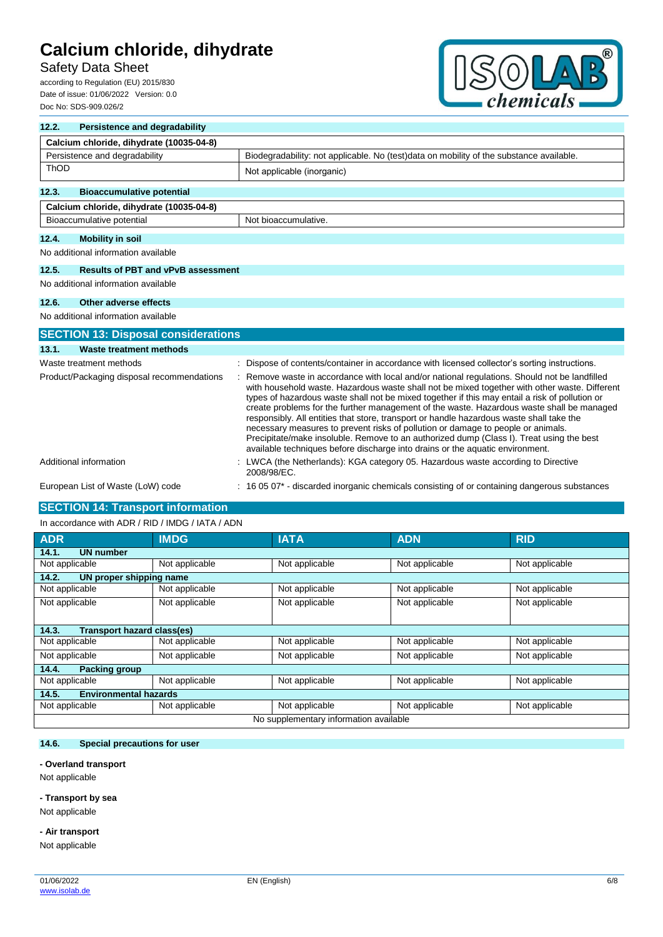## Safety Data Sheet

according to Regulation (EU) 2015/830 Date of issue: 01/06/2022 Version: 0.0 Doc No: SDS-909.026/2



| 12.2.                                      | <b>Persistence and degradability</b>       |                                                                                                                                                                                                                                                                                                                                                                                                                                                                                                                                                                                                                                                                                                                                                          |  |  |  |
|--------------------------------------------|--------------------------------------------|----------------------------------------------------------------------------------------------------------------------------------------------------------------------------------------------------------------------------------------------------------------------------------------------------------------------------------------------------------------------------------------------------------------------------------------------------------------------------------------------------------------------------------------------------------------------------------------------------------------------------------------------------------------------------------------------------------------------------------------------------------|--|--|--|
|                                            | Calcium chloride, dihydrate (10035-04-8)   |                                                                                                                                                                                                                                                                                                                                                                                                                                                                                                                                                                                                                                                                                                                                                          |  |  |  |
|                                            | Persistence and degradability              | Biodegradability: not applicable. No (test)data on mobility of the substance available.                                                                                                                                                                                                                                                                                                                                                                                                                                                                                                                                                                                                                                                                  |  |  |  |
| ThOD                                       |                                            | Not applicable (inorganic)                                                                                                                                                                                                                                                                                                                                                                                                                                                                                                                                                                                                                                                                                                                               |  |  |  |
| 12.3.                                      | <b>Bioaccumulative potential</b>           |                                                                                                                                                                                                                                                                                                                                                                                                                                                                                                                                                                                                                                                                                                                                                          |  |  |  |
|                                            | Calcium chloride, dihydrate (10035-04-8)   |                                                                                                                                                                                                                                                                                                                                                                                                                                                                                                                                                                                                                                                                                                                                                          |  |  |  |
|                                            | Bioaccumulative potential                  | Not bioaccumulative.                                                                                                                                                                                                                                                                                                                                                                                                                                                                                                                                                                                                                                                                                                                                     |  |  |  |
| 12.4.                                      | <b>Mobility in soil</b>                    |                                                                                                                                                                                                                                                                                                                                                                                                                                                                                                                                                                                                                                                                                                                                                          |  |  |  |
|                                            | No additional information available        |                                                                                                                                                                                                                                                                                                                                                                                                                                                                                                                                                                                                                                                                                                                                                          |  |  |  |
| 12.5.                                      | <b>Results of PBT and vPvB assessment</b>  |                                                                                                                                                                                                                                                                                                                                                                                                                                                                                                                                                                                                                                                                                                                                                          |  |  |  |
|                                            | No additional information available        |                                                                                                                                                                                                                                                                                                                                                                                                                                                                                                                                                                                                                                                                                                                                                          |  |  |  |
| 12.6.                                      | Other adverse effects                      |                                                                                                                                                                                                                                                                                                                                                                                                                                                                                                                                                                                                                                                                                                                                                          |  |  |  |
|                                            | No additional information available        |                                                                                                                                                                                                                                                                                                                                                                                                                                                                                                                                                                                                                                                                                                                                                          |  |  |  |
|                                            | <b>SECTION 13: Disposal considerations</b> |                                                                                                                                                                                                                                                                                                                                                                                                                                                                                                                                                                                                                                                                                                                                                          |  |  |  |
| 13.1.                                      | Waste treatment methods                    |                                                                                                                                                                                                                                                                                                                                                                                                                                                                                                                                                                                                                                                                                                                                                          |  |  |  |
|                                            | Waste treatment methods                    | : Dispose of contents/container in accordance with licensed collector's sorting instructions.                                                                                                                                                                                                                                                                                                                                                                                                                                                                                                                                                                                                                                                            |  |  |  |
| Product/Packaging disposal recommendations |                                            | Remove waste in accordance with local and/or national regulations. Should not be landfilled<br>with household waste. Hazardous waste shall not be mixed together with other waste. Different<br>types of hazardous waste shall not be mixed together if this may entail a risk of pollution or<br>create problems for the further management of the waste. Hazardous waste shall be managed<br>responsibly. All entities that store, transport or handle hazardous waste shall take the<br>necessary measures to prevent risks of pollution or damage to people or animals.<br>Precipitate/make insoluble. Remove to an authorized dump (Class I). Treat using the best<br>available techniques before discharge into drains or the aquatic environment. |  |  |  |
|                                            | Additional information                     | : LWCA (the Netherlands): KGA category 05. Hazardous waste according to Directive<br>2008/98/EC.                                                                                                                                                                                                                                                                                                                                                                                                                                                                                                                                                                                                                                                         |  |  |  |
|                                            | European List of Waste (LoW) code          | 16 05 07* - discarded inorganic chemicals consisting of or containing dangerous substances                                                                                                                                                                                                                                                                                                                                                                                                                                                                                                                                                                                                                                                               |  |  |  |

## **SECTION 14: Transport information**

| In accordance with ADR / RID / IMDG / IATA / ADN |                |                |                |                |  |  |
|--------------------------------------------------|----------------|----------------|----------------|----------------|--|--|
| <b>ADR</b>                                       | <b>IMDG</b>    | <b>IATA</b>    | <b>ADN</b>     | <b>RID</b>     |  |  |
| <b>UN number</b><br>14.1.                        |                |                |                |                |  |  |
| Not applicable                                   | Not applicable | Not applicable | Not applicable | Not applicable |  |  |
| 14.2.<br>UN proper shipping name                 |                |                |                |                |  |  |
| Not applicable                                   | Not applicable | Not applicable | Not applicable | Not applicable |  |  |
| Not applicable                                   | Not applicable | Not applicable | Not applicable | Not applicable |  |  |
|                                                  |                |                |                |                |  |  |
| <b>Transport hazard class(es)</b><br>14.3.       |                |                |                |                |  |  |
| Not applicable                                   | Not applicable | Not applicable | Not applicable | Not applicable |  |  |
| Not applicable                                   | Not applicable | Not applicable | Not applicable | Not applicable |  |  |
| 14.4.<br><b>Packing group</b>                    |                |                |                |                |  |  |
| Not applicable                                   | Not applicable | Not applicable | Not applicable | Not applicable |  |  |
| 14.5.<br><b>Environmental hazards</b>            |                |                |                |                |  |  |
| Not applicable                                   | Not applicable | Not applicable | Not applicable | Not applicable |  |  |
| No supplementary information available           |                |                |                |                |  |  |

#### **14.6. Special precautions for user**

#### **- Overland transport**

Not applicable

### **- Transport by sea**

Not applicable

#### **- Air transport**

Not applicable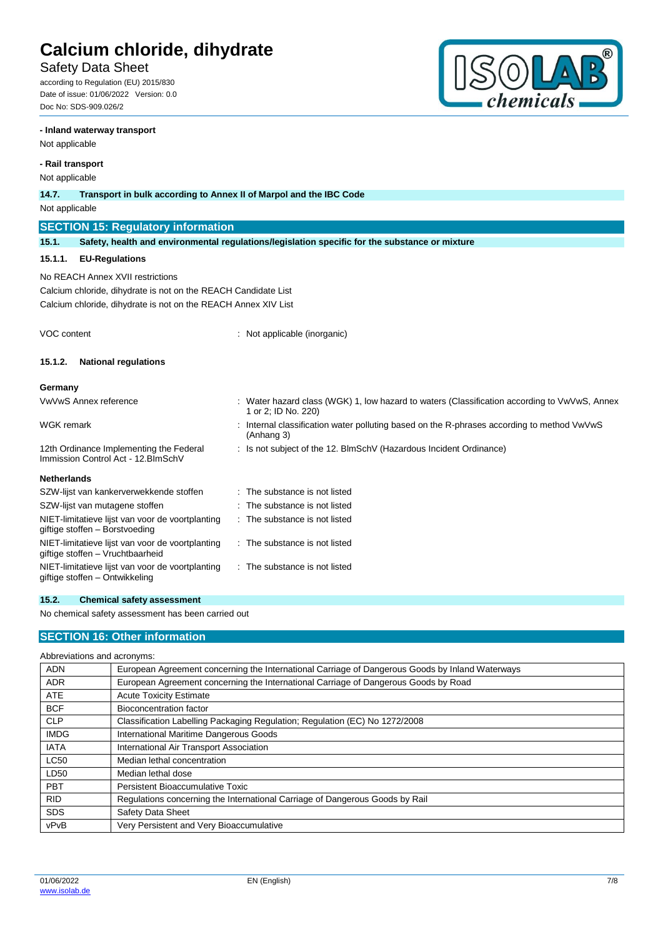# Safety Data Sheet

according to Regulation (EU) 2015/830 Date of issue: 01/06/2022 Version: 0.0 Doc No: SDS-909.026/2

### **- Inland waterway transport**

Not applicable

## **- Rail transport**

Not applicable

| inul applicable                                                                      |                                                                                                                                                                      |  |                                                                                                                   |  |  |  |
|--------------------------------------------------------------------------------------|----------------------------------------------------------------------------------------------------------------------------------------------------------------------|--|-------------------------------------------------------------------------------------------------------------------|--|--|--|
| 14.7.                                                                                | Transport in bulk according to Annex II of Marpol and the IBC Code                                                                                                   |  |                                                                                                                   |  |  |  |
| Not applicable                                                                       |                                                                                                                                                                      |  |                                                                                                                   |  |  |  |
|                                                                                      | <b>SECTION 15: Regulatory information</b>                                                                                                                            |  |                                                                                                                   |  |  |  |
| 15.1.                                                                                | Safety, health and environmental regulations/legislation specific for the substance or mixture                                                                       |  |                                                                                                                   |  |  |  |
| 15.1.1.                                                                              | <b>EU-Regulations</b>                                                                                                                                                |  |                                                                                                                   |  |  |  |
|                                                                                      | No REACH Annex XVII restrictions<br>Calcium chloride, dihydrate is not on the REACH Candidate List<br>Calcium chloride, dihydrate is not on the REACH Annex XIV List |  |                                                                                                                   |  |  |  |
| VOC content                                                                          |                                                                                                                                                                      |  | Not applicable (inorganic)                                                                                        |  |  |  |
| 15.1.2.                                                                              | <b>National regulations</b>                                                                                                                                          |  |                                                                                                                   |  |  |  |
| Germany                                                                              |                                                                                                                                                                      |  |                                                                                                                   |  |  |  |
|                                                                                      | <b>VwVwS Annex reference</b>                                                                                                                                         |  | Water hazard class (WGK) 1, low hazard to waters (Classification according to VwVwS, Annex<br>1 or 2; ID No. 220) |  |  |  |
| <b>WGK</b> remark                                                                    |                                                                                                                                                                      |  | Internal classification water polluting based on the R-phrases according to method VwVwS<br>(Anhang 3)            |  |  |  |
| 12th Ordinance Implementing the Federal<br>Immission Control Act - 12. BlmSchV       |                                                                                                                                                                      |  | : Is not subject of the 12. BlmSchV (Hazardous Incident Ordinance)                                                |  |  |  |
| <b>Netherlands</b>                                                                   |                                                                                                                                                                      |  |                                                                                                                   |  |  |  |
|                                                                                      | SZW-lijst van kankerverwekkende stoffen                                                                                                                              |  | The substance is not listed                                                                                       |  |  |  |
|                                                                                      | SZW-lijst van mutagene stoffen                                                                                                                                       |  | The substance is not listed                                                                                       |  |  |  |
| NIET-limitatieve lijst van voor de voortplanting<br>giftige stoffen - Borstvoeding   |                                                                                                                                                                      |  | : The substance is not listed                                                                                     |  |  |  |
| NIET-limitatieve lijst van voor de voortplanting<br>giftige stoffen - Vruchtbaarheid |                                                                                                                                                                      |  | $\therefore$ The substance is not listed                                                                          |  |  |  |

## **15.2. Chemical safety assessment**

NIET-limitatieve lijst van voor de voortplanting

No chemical safety assessment has been carried out

## **SECTION 16: Other information**

| Abbreviations and acronyms: |  |  |
|-----------------------------|--|--|
|                             |  |  |

giftige stoffen – Ontwikkeling

| <b>ADN</b>  | European Agreement concerning the International Carriage of Dangerous Goods by Inland Waterways |
|-------------|-------------------------------------------------------------------------------------------------|
| <b>ADR</b>  | European Agreement concerning the International Carriage of Dangerous Goods by Road             |
| <b>ATE</b>  | <b>Acute Toxicity Estimate</b>                                                                  |
| <b>BCF</b>  | <b>Bioconcentration factor</b>                                                                  |
| <b>CLP</b>  | Classification Labelling Packaging Regulation; Regulation (EC) No 1272/2008                     |
| <b>IMDG</b> | International Maritime Dangerous Goods                                                          |
| <b>IATA</b> | International Air Transport Association                                                         |
| <b>LC50</b> | Median lethal concentration                                                                     |
| LD50        | Median lethal dose                                                                              |
| <b>PBT</b>  | Persistent Bioaccumulative Toxic                                                                |
| <b>RID</b>  | Regulations concerning the International Carriage of Dangerous Goods by Rail                    |
| <b>SDS</b>  | Safety Data Sheet                                                                               |
| vPvB        | Very Persistent and Very Bioaccumulative                                                        |

: The substance is not listed